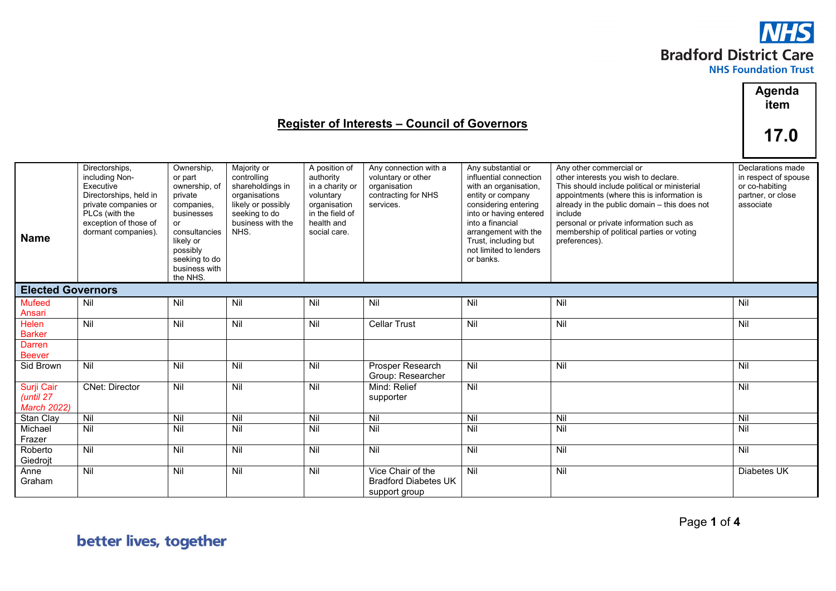

|                                               |                                                                                                                                                                   |                                                                                                                                                                             |                                                                                                                                     |                                                                                                                             | <b>Register of Interests - Council of Governors</b>                                             |                                                                                                                                                                                                                                                         |                                                                                                                                                                                                                                                                                                                                   | Agenda<br>item<br>17.0                                                                        |
|-----------------------------------------------|-------------------------------------------------------------------------------------------------------------------------------------------------------------------|-----------------------------------------------------------------------------------------------------------------------------------------------------------------------------|-------------------------------------------------------------------------------------------------------------------------------------|-----------------------------------------------------------------------------------------------------------------------------|-------------------------------------------------------------------------------------------------|---------------------------------------------------------------------------------------------------------------------------------------------------------------------------------------------------------------------------------------------------------|-----------------------------------------------------------------------------------------------------------------------------------------------------------------------------------------------------------------------------------------------------------------------------------------------------------------------------------|-----------------------------------------------------------------------------------------------|
| <b>Name</b>                                   | Directorships,<br>including Non-<br>Executive<br>Directorships, held in<br>private companies or<br>PLCs (with the<br>exception of those of<br>dormant companies). | Ownership,<br>or part<br>ownership, of<br>private<br>companies,<br>businesses<br>or<br>consultancies<br>likely or<br>possibly<br>seeking to do<br>business with<br>the NHS. | Majority or<br>controlling<br>shareholdings in<br>organisations<br>likely or possibly<br>seeking to do<br>business with the<br>NHS. | A position of<br>authority<br>in a charity or<br>voluntary<br>organisation<br>in the field of<br>health and<br>social care. | Any connection with a<br>voluntary or other<br>organisation<br>contracting for NHS<br>services. | Any substantial or<br>influential connection<br>with an organisation,<br>entity or company<br>considering entering<br>into or having entered<br>into a financial<br>arrangement with the<br>Trust, including but<br>not limited to lenders<br>or banks. | Any other commercial or<br>other interests you wish to declare.<br>This should include political or ministerial<br>appointments (where this is information is<br>already in the public domain - this does not<br>include<br>personal or private information such as<br>membership of political parties or voting<br>preferences). | Declarations made<br>in respect of spouse<br>or co-habiting<br>partner, or close<br>associate |
| <b>Elected Governors</b>                      |                                                                                                                                                                   |                                                                                                                                                                             |                                                                                                                                     |                                                                                                                             |                                                                                                 |                                                                                                                                                                                                                                                         |                                                                                                                                                                                                                                                                                                                                   |                                                                                               |
| <b>Mufeed</b>                                 | Nil                                                                                                                                                               | Nil                                                                                                                                                                         | Nil                                                                                                                                 | Nil                                                                                                                         | Nil                                                                                             | Nil                                                                                                                                                                                                                                                     | Nil                                                                                                                                                                                                                                                                                                                               | Nil                                                                                           |
| Ansari<br><b>Helen</b><br><b>Barker</b>       | Nil                                                                                                                                                               | Nil                                                                                                                                                                         | Nil                                                                                                                                 | Nil                                                                                                                         | <b>Cellar Trust</b>                                                                             | Nil                                                                                                                                                                                                                                                     | Nil                                                                                                                                                                                                                                                                                                                               | Nil                                                                                           |
| Darren<br><b>Beever</b>                       |                                                                                                                                                                   |                                                                                                                                                                             |                                                                                                                                     |                                                                                                                             |                                                                                                 |                                                                                                                                                                                                                                                         |                                                                                                                                                                                                                                                                                                                                   |                                                                                               |
| Sid Brown                                     | $\overline{N}$                                                                                                                                                    | Nil                                                                                                                                                                         | Nil                                                                                                                                 | Nil                                                                                                                         | Prosper Research<br>Group: Researcher                                                           | Nil                                                                                                                                                                                                                                                     | Nil                                                                                                                                                                                                                                                                                                                               | Nil                                                                                           |
| Surji Cair<br>(until 27<br><b>March 2022)</b> | <b>CNet: Director</b>                                                                                                                                             | Nil                                                                                                                                                                         | Nil                                                                                                                                 | $\overline{N}$                                                                                                              | Mind: Relief<br>supporter                                                                       | Nil                                                                                                                                                                                                                                                     |                                                                                                                                                                                                                                                                                                                                   | Nil                                                                                           |
| Stan Clay                                     | $\overline{N}$                                                                                                                                                    | Nil                                                                                                                                                                         | $\overline{N}$                                                                                                                      | Nil                                                                                                                         | Nil                                                                                             | Nil                                                                                                                                                                                                                                                     | $\overline{N}$                                                                                                                                                                                                                                                                                                                    | $\overline{N}$                                                                                |
| Michael<br>Frazer                             | Nil                                                                                                                                                               | Nil                                                                                                                                                                         | Nil                                                                                                                                 | Nil                                                                                                                         | Nil                                                                                             | Nil                                                                                                                                                                                                                                                     | Nil                                                                                                                                                                                                                                                                                                                               | Nil                                                                                           |
| Roberto<br>Giedrojt                           | Nil                                                                                                                                                               | Nil                                                                                                                                                                         | Nil                                                                                                                                 | Nil                                                                                                                         | Nil                                                                                             | Nil                                                                                                                                                                                                                                                     | Nil                                                                                                                                                                                                                                                                                                                               | Nil                                                                                           |
| Anne<br>Graham                                | Nil                                                                                                                                                               | Nil                                                                                                                                                                         | $\overline{N}$                                                                                                                      | Nil                                                                                                                         | Vice Chair of the<br><b>Bradford Diabetes UK</b><br>support group                               | $\overline{N}$                                                                                                                                                                                                                                          | Nil                                                                                                                                                                                                                                                                                                                               | Diabetes UK                                                                                   |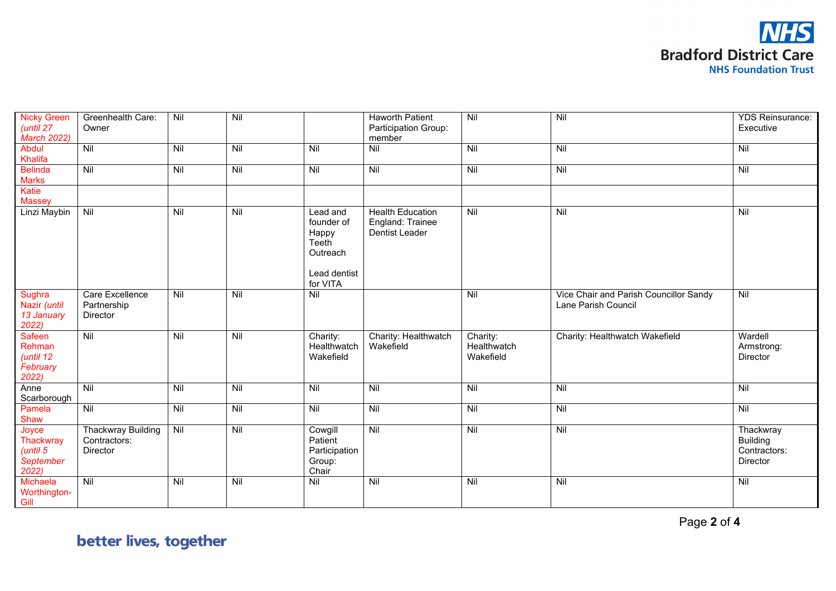

| <b>Nicky Green</b>                                   | Greenhealth Care:                              | Nil            | Nil            |                                                                                  | <b>Haworth Patient</b>                                        | Nil                                  | Nil                                                           | <b>YDS Reinsurance:</b>                                  |
|------------------------------------------------------|------------------------------------------------|----------------|----------------|----------------------------------------------------------------------------------|---------------------------------------------------------------|--------------------------------------|---------------------------------------------------------------|----------------------------------------------------------|
| (until 27                                            | Owner                                          |                |                |                                                                                  | Participation Group:                                          |                                      |                                                               | Executive                                                |
| <b>March 2022)</b>                                   |                                                |                |                |                                                                                  | member                                                        |                                      |                                                               |                                                          |
| Abdul                                                | Nil                                            | $\overline{N}$ | $\overline{N}$ | Nil                                                                              | $\overline{N}$                                                | $\overline{N}$                       | Nil                                                           | Nil                                                      |
| Khalifa                                              |                                                |                |                |                                                                                  |                                                               |                                      |                                                               |                                                          |
| <b>Belinda</b>                                       | Nil                                            | Nil            | Nil            | Nil                                                                              | Nil                                                           | $\overline{N}$                       | Nil                                                           | $\overline{N}$                                           |
| <b>Marks</b>                                         |                                                |                |                |                                                                                  |                                                               |                                      |                                                               |                                                          |
| Katie                                                |                                                |                |                |                                                                                  |                                                               |                                      |                                                               |                                                          |
| <b>Massey</b>                                        |                                                |                |                |                                                                                  |                                                               |                                      |                                                               |                                                          |
| Linzi Maybin                                         | Nil                                            | Nil            | Nil            | Lead and<br>founder of<br>Happy<br>Teeth<br>Outreach<br>Lead dentist<br>for VITA | <b>Health Education</b><br>England: Trainee<br>Dentist Leader | Nil                                  | Nil                                                           | Nil                                                      |
| <b>Sughra</b><br>Nazir (until<br>13 January<br>2022) | Care Excellence<br>Partnership<br>Director     | Nil            | Nil            | Nil                                                                              |                                                               | Nil                                  | Vice Chair and Parish Councillor Sandy<br>Lane Parish Council | Nil                                                      |
| Safeen<br>Rehman<br>(until 12<br>February<br>2022)   | Nil                                            | Nil            | Nil            | Charity:<br>Healthwatch<br>Wakefield                                             | Charity: Healthwatch<br>Wakefield                             | Charity:<br>Healthwatch<br>Wakefield | Charity: Healthwatch Wakefield                                | Wardell<br>Armstrong:<br>Director                        |
| Anne<br>Scarborough                                  | Nil                                            | Nil            | Nil            | Nil                                                                              | Nil                                                           | $\overline{N}$                       | Nil                                                           | Nil                                                      |
| Pamela<br>Shaw                                       | Nil                                            | Nil            | Nil            | Nil                                                                              | Nil                                                           | Nil                                  | Nil                                                           | Nil                                                      |
| Joyce<br>Thackwray<br>(until 5<br>September<br>2022) | Thackwray Building<br>Contractors:<br>Director | Nil            | Nil            | Cowgill<br>Patient<br>Participation<br>Group:<br>Chair                           | Nil                                                           | Nil                                  | Nil                                                           | Thackwray<br><b>Building</b><br>Contractors:<br>Director |
| Michaela<br>Worthington-<br>Gill                     | Nil                                            | Nil            | $\overline{N}$ | Nil                                                                              | Nil                                                           | $\overline{N}$                       | $\overline{N}$                                                | Nil                                                      |

Page **2** of **4**

better lives, together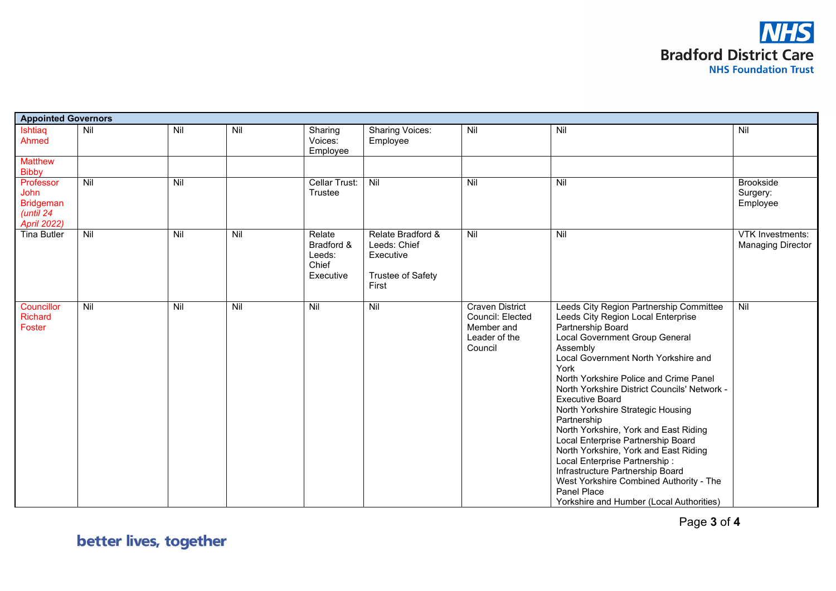

| <b>Appointed Governors</b>                                                      |                |     |     |                                                      |                                                                              |                                                                                      |                                                                                                                                                                                                                                                                                                                                                                                                                                                                                                                                                                                                                                                                             |                                                     |
|---------------------------------------------------------------------------------|----------------|-----|-----|------------------------------------------------------|------------------------------------------------------------------------------|--------------------------------------------------------------------------------------|-----------------------------------------------------------------------------------------------------------------------------------------------------------------------------------------------------------------------------------------------------------------------------------------------------------------------------------------------------------------------------------------------------------------------------------------------------------------------------------------------------------------------------------------------------------------------------------------------------------------------------------------------------------------------------|-----------------------------------------------------|
| Ishtiaq<br>Ahmed                                                                | Nil            | Nil | Nil | Sharing<br>Voices:<br>Employee                       | <b>Sharing Voices:</b><br>Employee                                           | Nil                                                                                  | Nil                                                                                                                                                                                                                                                                                                                                                                                                                                                                                                                                                                                                                                                                         | Nil                                                 |
| <b>Matthew</b><br><b>Bibby</b>                                                  |                |     |     |                                                      |                                                                              |                                                                                      |                                                                                                                                                                                                                                                                                                                                                                                                                                                                                                                                                                                                                                                                             |                                                     |
| Professor<br><b>John</b><br><b>Bridgeman</b><br>(until 24<br><b>April 2022)</b> | $\overline{N}$ | Nil |     | Cellar Trust:<br>Trustee                             | Nil                                                                          | Nil                                                                                  | $\overline{N}$                                                                                                                                                                                                                                                                                                                                                                                                                                                                                                                                                                                                                                                              | <b>Brookside</b><br>Surgery:<br>Employee            |
| <b>Tina Butler</b>                                                              | Nil            | Nil | Nil | Relate<br>Bradford &<br>Leeds:<br>Chief<br>Executive | Relate Bradford &<br>Leeds: Chief<br>Executive<br>Trustee of Safety<br>First | Nil                                                                                  | Nil                                                                                                                                                                                                                                                                                                                                                                                                                                                                                                                                                                                                                                                                         | <b>VTK Investments:</b><br><b>Managing Director</b> |
| Councillor<br><b>Richard</b><br>Foster                                          | $\overline{N}$ | Nil | Nil | $\overline{N}$                                       | Nil                                                                          | <b>Craven District</b><br>Council: Elected<br>Member and<br>Leader of the<br>Council | Leeds City Region Partnership Committee<br>Leeds City Region Local Enterprise<br>Partnership Board<br>Local Government Group General<br>Assembly<br>Local Government North Yorkshire and<br>York<br>North Yorkshire Police and Crime Panel<br>North Yorkshire District Councils' Network -<br><b>Executive Board</b><br>North Yorkshire Strategic Housing<br>Partnership<br>North Yorkshire, York and East Riding<br>Local Enterprise Partnership Board<br>North Yorkshire, York and East Riding<br>Local Enterprise Partnership:<br>Infrastructure Partnership Board<br>West Yorkshire Combined Authority - The<br>Panel Place<br>Yorkshire and Humber (Local Authorities) | Nil                                                 |

Page **3** of **4**